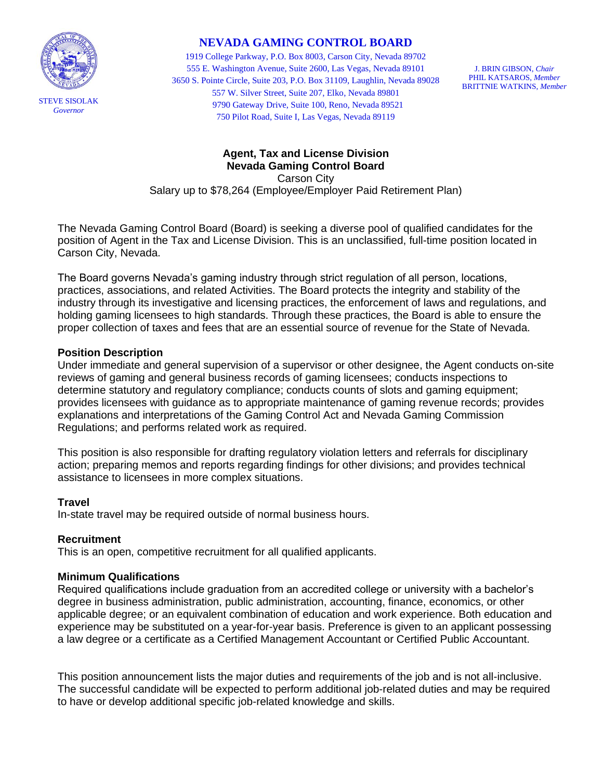

# **NEVADA GAMING CONTROL BOARD**

1919 College Parkway, P.O. Box 8003, Carson City, Nevada 89702 555 E. Washington Avenue, Suite 2600, Las Vegas, Nevada 89101 3650 S. Pointe Circle, Suite 203, P.O. Box 31109, Laughlin, Nevada 89028 557 W. Silver Street, Suite 207, Elko, Nevada 89801 9790 Gateway Drive, Suite 100, Reno, Nevada 89521 750 Pilot Road, Suite I, Las Vegas, Nevada 89119

J. BRIN GIBSON, *Chair* PHIL KATSAROS, *Member* BRITTNIE WATKINS, *Member*

# **Agent, Tax and License Division Nevada Gaming Control Board** Carson City Salary up to \$78,264 (Employee/Employer Paid Retirement Plan)

The Nevada Gaming Control Board (Board) is seeking a diverse pool of qualified candidates for the position of Agent in the Tax and License Division. This is an unclassified, full-time position located in Carson City, Nevada.

The Board governs Nevada's gaming industry through strict regulation of all person, locations, practices, associations, and related Activities. The Board protects the integrity and stability of the industry through its investigative and licensing practices, the enforcement of laws and regulations, and holding gaming licensees to high standards. Through these practices, the Board is able to ensure the proper collection of taxes and fees that are an essential source of revenue for the State of Nevada.

### **Position Description**

Under immediate and general supervision of a supervisor or other designee, the Agent conducts on-site reviews of gaming and general business records of gaming licensees; conducts inspections to determine statutory and regulatory compliance; conducts counts of slots and gaming equipment; provides licensees with guidance as to appropriate maintenance of gaming revenue records; provides explanations and interpretations of the Gaming Control Act and Nevada Gaming Commission Regulations; and performs related work as required.

This position is also responsible for drafting regulatory violation letters and referrals for disciplinary action; preparing memos and reports regarding findings for other divisions; and provides technical assistance to licensees in more complex situations.

#### **Travel**

In-state travel may be required outside of normal business hours.

## **Recruitment**

This is an open, competitive recruitment for all qualified applicants.

## **Minimum Qualifications**

Required qualifications include graduation from an accredited college or university with a bachelor's degree in business administration, public administration, accounting, finance, economics, or other applicable degree; or an equivalent combination of education and work experience. Both education and experience may be substituted on a year-for-year basis. Preference is given to an applicant possessing a law degree or a certificate as a Certified Management Accountant or Certified Public Accountant.

This position announcement lists the major duties and requirements of the job and is not all-inclusive. The successful candidate will be expected to perform additional job-related duties and may be required to have or develop additional specific job-related knowledge and skills.